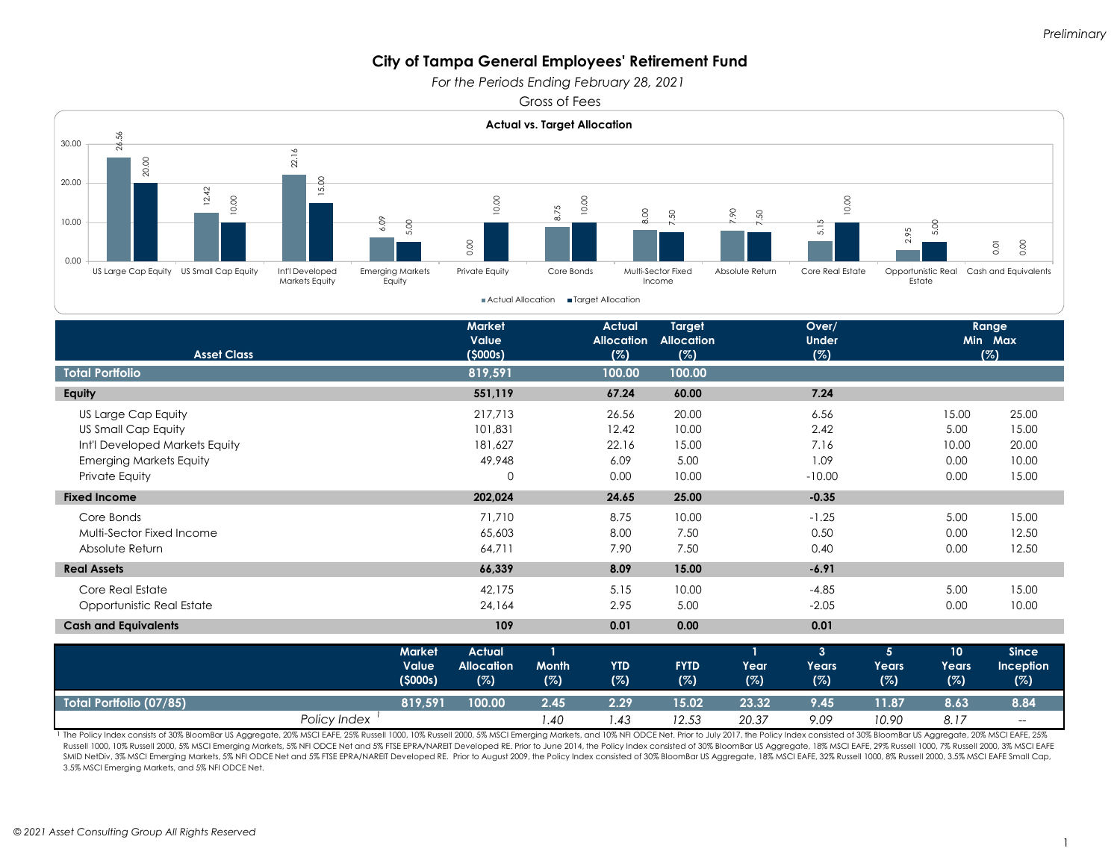*For the Periods Ending February 28, 2021* 

Gross of Fees



1 The Policy Index consists of 30% BloomBar US Aggregate, 20% MSCI EAFE, 25% Russell 1000, 10% Russell 2000, 5% MSCI Emerging Markets, and 10% NFI ODCE Net. Prior to July 2017, the Policy Index consisted of 30% BloomBar US Russell 1000, 10% Russell 2000, 5% MSCl Emerging Markets, 5% NFI ODCE Net and 5% FTSE EPRA/NAREIT Developed RE. Prior to June 2014, the Policy Index consisted of 30% BloomBar US Aggregate, 18% MSCI EAFE, 29% Russell 1000, SMID NetDiv, 3% MSCI Emerging Markets, 5% NFI ODCE Net and 5% FTSE EPRA/NAREIT Developed RE. Prior to August 2009, the Policy Index consisted of 30% BloomBar US Aggregate, 18% MSCI EAFE, 32% Russell 1000, 8% Russell 2000, 3.5% MSCI Emerging Markets, and 5% NFI ODCE Net.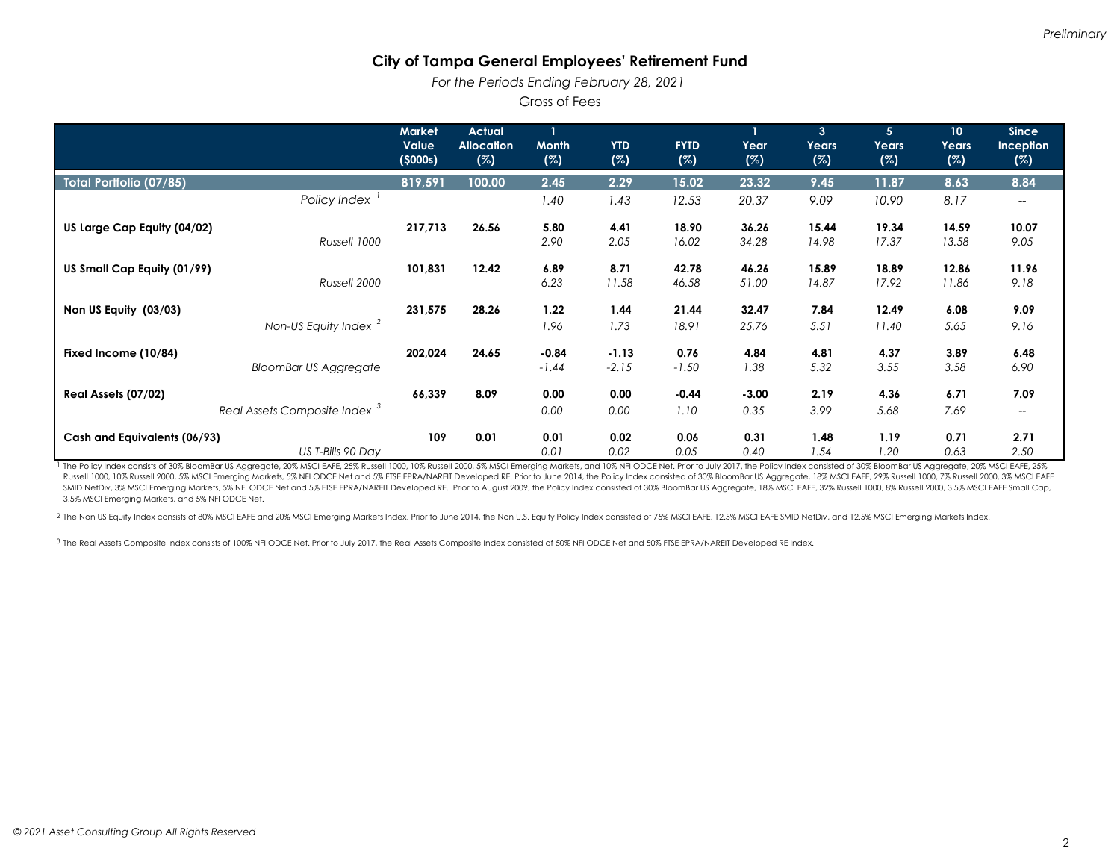*For the Periods Ending February 28, 2021* 

Gross of Fees

|                                          | <b>Market</b><br>Value<br>(5000s) | <b>Actual</b><br><b>Allocation</b><br>(%) | <b>Month</b><br>(%) | <b>YTD</b><br>(%) | <b>FYTD</b><br>(%) | Year<br>(%) | 3<br>Years<br>(%) | $\overline{5}$<br>Years<br>(%) | 10<br>Years<br>(%) | <b>Since</b><br><b>Inception</b><br>(%) |
|------------------------------------------|-----------------------------------|-------------------------------------------|---------------------|-------------------|--------------------|-------------|-------------------|--------------------------------|--------------------|-----------------------------------------|
| <b>Total Portfolio (07/85)</b>           | 819,591                           | 100.00                                    | 2.45                | 2.29              | 15.02              | 23.32       | 9.45              | 11.87                          | 8.63               | 8.84                                    |
| Policy Index                             |                                   |                                           | 1.40                | 1.43              | 12.53              | 20.37       | 9.09              | 10.90                          | 8.17               | $\overline{\phantom{a}}$                |
| US Large Cap Equity (04/02)              | 217,713                           | 26.56                                     | 5.80                | 4.41              | 18.90              | 36.26       | 15.44             | 19.34                          | 14.59              | 10.07                                   |
| Russell 1000                             |                                   |                                           | 2.90                | 2.05              | 16.02              | 34.28       | 14.98             | 17.37                          | 13.58              | 9.05                                    |
| US Small Cap Equity (01/99)              | 101,831                           | 12.42                                     | 6.89                | 8.71              | 42.78              | 46.26       | 15.89             | 18.89                          | 12.86              | 11.96                                   |
| Russell 2000                             |                                   |                                           | 6.23                | 11.58             | 46.58              | 51.00       | 14.87             | 17.92                          | 11.86              | 9.18                                    |
| Non US Equity (03/03)                    | 231,575                           | 28.26                                     | 1.22                | 1.44              | 21.44              | 32.47       | 7.84              | 12.49                          | 6.08               | 9.09                                    |
| Non-US Equity Index <sup>2</sup>         |                                   |                                           | 1.96                | 1.73              | 18.91              | 25.76       | 5.51              | 11.40                          | 5.65               | 9.16                                    |
| Fixed Income (10/84)                     | 202,024                           | 24.65                                     | $-0.84$             | $-1.13$           | 0.76               | 4.84        | 4.81              | 4.37                           | 3.89               | 6.48                                    |
| <b>BloomBar US Aggregate</b>             |                                   |                                           | $-1.44$             | $-2.15$           | $-1.50$            | 1.38        | 5.32              | 3.55                           | 3.58               | 6.90                                    |
| Real Assets (07/02)                      | 66,339                            | 8.09                                      | 0.00                | 0.00              | $-0.44$            | $-3.00$     | 2.19              | 4.36                           | 6.71               | 7.09                                    |
| Real Assets Composite Index <sup>3</sup> |                                   |                                           | 0.00                | 0.00              | 1.10               | 0.35        | 3.99              | 5.68                           | 7.69               | $\hspace{0.05cm} \ldots$                |
| Cash and Equivalents (06/93)             | 109                               | 0.01                                      | 0.01                | 0.02              | 0.06               | 0.31        | 1.48              | 1.19                           | 0.71               | 2.71                                    |
| US T-Bills 90 Day                        |                                   |                                           | 0.01                | 0.02              | 0.05               | 0.40        | 1.54              | 1.20                           | 0.63               | 2.50                                    |

1 The Policy Index consists of 30% BloomBar US Aggregate, 20% MSCI EAFE, 25% Russell 1000, 10% Russell 2000, 5% MSCI Emerging Markets, and 10% NFI ODCE Net. Prior to July 2017, the Policy Index consisted of 30% BloomBar US Russell 1000, 10% Russell 2000, 5% MSCl Emerging Markets, 5% NFI ODCE Net and 5% FTSE EPRA/NAREIT Developed RE. Prior to June 2014, the Policy Index consisted of 30% BloomBar US Aggregate, 18% MSCI EAFE, 29% Russell 1000, SMID NetDiv, 3% MSCI Emerging Markets, 5% NFI ODCE Net and 5% FTSE EPRA/NAREIT Developed RE. Prior to August 2009, the Policy Index consisted of 30% BloomBar US Aggregate, 18% MSCI EAFE, 32% Russell 1000, 8% Russell 2000, 3.5% MSCI Emerging Markets, and 5% NFI ODCE Net.

2 The Non US Equity Index consists of 80% MSCI EAFE and 20% MSCI Emerging Markets Index. Prior to June 2014, the Non U.S. Equity Policy Index consisted of 75% MSCI EAFE, 12.5% MSCI EAFE SMID NetDiv, and 12.5% MSCI Emerging

3 The Real Assets Composite Index consists of 100% NFI ODCE Net. Prior to July 2017, the Real Assets Composite Index consisted of 50% NFI ODCE Net and 50% FTSE EPRA/NAREIT Developed RE Index.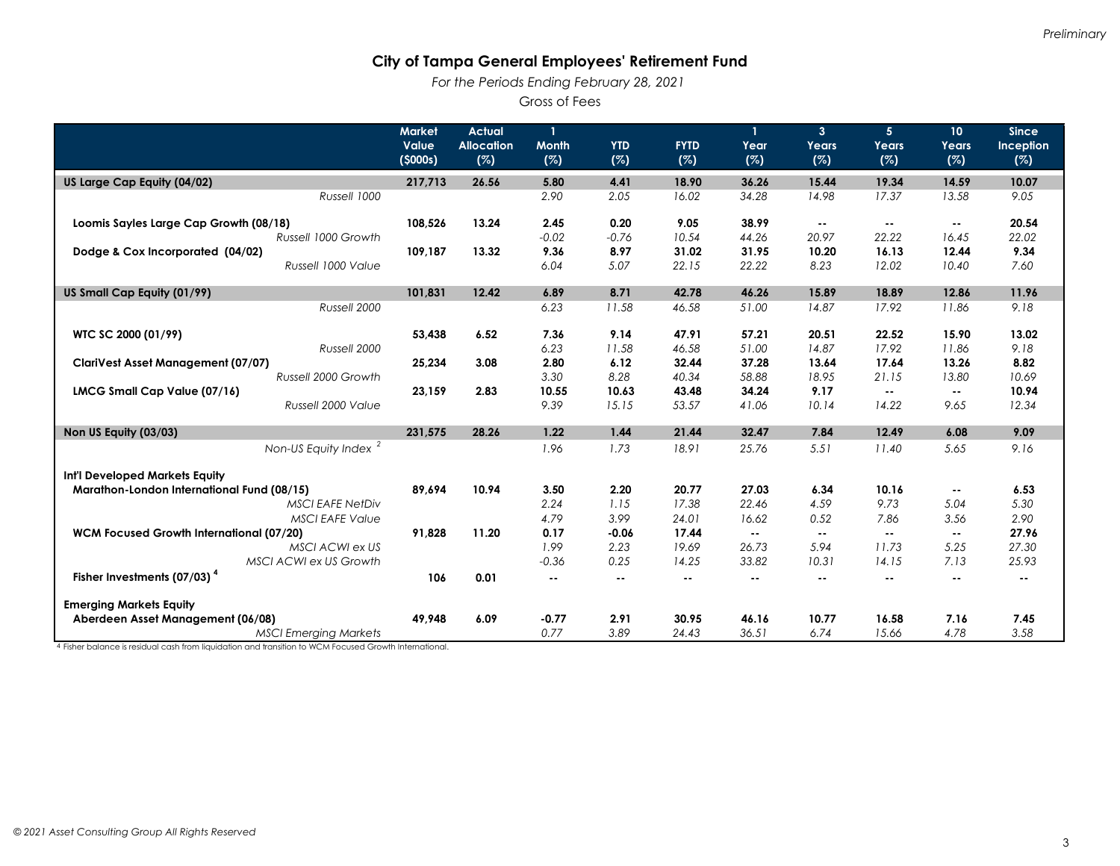*For the Periods Ending February 28, 2021* 

Gross of Fees

|                                                 | <b>Market</b> | <b>Actual</b>     | $\mathbf{1}$ |            |             | 1      | 3 <sup>1</sup> | 5 <sup>1</sup> | 10 <sup>°</sup> | <b>Since</b>  |
|-------------------------------------------------|---------------|-------------------|--------------|------------|-------------|--------|----------------|----------------|-----------------|---------------|
|                                                 | Value         | <b>Allocation</b> | <b>Month</b> | <b>YTD</b> | <b>FYTD</b> | Year   | Years          | Years          | Years           | Inception     |
|                                                 | (5000s)       | (%)               | (%)          | (%)        | (%)         | (%)    | (%)            | (%)            | (%)             | (%)           |
| US Large Cap Equity (04/02)                     | 217,713       | 26.56             | 5.80         | 4.41       | 18.90       | 36.26  | 15.44          | 19.34          | 14.59           | 10.07         |
| Russell 1000                                    |               |                   | 2.90         | 2.05       | 16.02       | 34.28  | 14.98          | 17.37          | 13.58           | 9.05          |
|                                                 |               |                   |              |            |             |        |                |                |                 |               |
| Loomis Sayles Large Cap Growth (08/18)          | 108.526       | 13.24             | 2.45         | 0.20       | 9.05        | 38.99  | $\sim$ $\sim$  | $\sim$ $\sim$  | $\sim$          | 20.54         |
| Russell 1000 Growth                             |               |                   | $-0.02$      | $-0.76$    | 10.54       | 44.26  | 20.97          | 22.22          | 16.45           | 22.02         |
| Dodge & Cox Incorporated (04/02)                | 109,187       | 13.32             | 9.36         | 8.97       | 31.02       | 31.95  | 10.20          | 16.13          | 12.44           | 9.34          |
| Russell 1000 Value                              |               |                   | 6.04         | 5.07       | 22.15       | 22.22  | 8.23           | 12.02          | 10.40           | 7.60          |
| US Small Cap Equity (01/99)                     | 101,831       | 12.42             | 6.89         | 8.71       | 42.78       | 46.26  | 15.89          | 18.89          | 12.86           | 11.96         |
| Russell 2000                                    |               |                   | 6.23         | 11.58      | 46.58       | 51.00  | 14.87          | 17.92          | 11.86           | 9.18          |
| WTC SC 2000 (01/99)                             | 53,438        | 6.52              | 7.36         | 9.14       | 47.91       | 57.21  | 20.51          | 22.52          | 15.90           | 13.02         |
| Russell 2000                                    |               |                   | 6.23         | 11.58      | 46.58       | 51.00  | 14.87          | 17.92          | 11.86           | 9.18          |
| <b>ClariVest Asset Management (07/07)</b>       | 25,234        | 3.08              | 2.80         | 6.12       | 32.44       | 37.28  | 13.64          | 17.64          | 13.26           | 8.82          |
| Russell 2000 Growth                             |               |                   | 3.30         | 8.28       | 40.34       | 58.88  | 18.95          | 21.15          | 13.80           | 10.69         |
| LMCG Small Cap Value (07/16)                    | 23,159        | 2.83              | 10.55        | 10.63      | 43.48       | 34.24  | 9.17           | $\sim$ $\sim$  | $\sim$ $-$      | 10.94         |
| Russell 2000 Value                              |               |                   | 9.39         | 15.15      | 53.57       | 41.06  | 10.14          | 14.22          | 9.65            | 12.34         |
|                                                 |               |                   |              |            |             |        |                |                |                 |               |
| Non US Equity (03/03)                           | 231.575       | 28.26             | 1.22         | 1.44       | 21.44       | 32.47  | 7.84           | 12.49          | 6.08            | 9.09          |
| Non-US Equity Index <sup>2</sup>                |               |                   | 1.96         | 1.73       | 18.91       | 25.76  | 5.51           | 11.40          | 5.65            | 9.16          |
| Int'l Developed Markets Equity                  |               |                   |              |            |             |        |                |                |                 |               |
| Marathon-London International Fund (08/15)      | 89.694        | 10.94             | 3.50         | 2.20       | 20.77       | 27.03  | 6.34           | 10.16          | $\sim$ $-$      | 6.53          |
| <b>MSCI EAFE NetDiv</b>                         |               |                   | 2.24         | 1.15       | 17.38       | 22.46  | 4.59           | 9.73           | 5.04            | 5.30          |
| <b>MSCI EAFE Value</b>                          |               |                   | 4.79         | 3.99       | 24.01       | 16.62  | 0.52           | 7.86           | 3.56            | 2.90          |
| <b>WCM Focused Growth International (07/20)</b> | 91,828        | 11.20             | 0.17         | $-0.06$    | 17.44       | $\sim$ | $\sim$         | $\sim$ $\sim$  | $\sim$ $\sim$   | 27.96         |
| MSCI ACWI ex US                                 |               |                   | 1.99         | 2.23       | 19.69       | 26.73  | 5.94           | 11.73          | 5.25            | 27.30         |
| MSCI ACWI ex US Growth                          |               |                   | $-0.36$      | 0.25       | 14.25       | 33.82  | 10.31          | 14.15          | 7.13            | 25.93         |
| Fisher Investments (07/03) <sup>4</sup>         | 106           | 0.01              | н.           | $- -$      | ۰.          |        | ۰.             | н.             | $\sim$ $\sim$   | $\sim$ $\sim$ |
| <b>Emerging Markets Equity</b>                  |               |                   |              |            |             |        |                |                |                 |               |
| Aberdeen Asset Management (06/08)               | 49,948        | 6.09              | $-0.77$      | 2.91       | 30.95       | 46.16  | 10.77          | 16.58          | 7.16            | 7.45          |
| <b>MSCI Emerging Markets</b>                    |               |                   | 0.77         | 3.89       | 24.43       | 36.51  | 6.74           | 15.66          | 4.78            | 3.58          |

4 Fisher balance is residual cash from liquidation and transition to WCM Focused Growth International.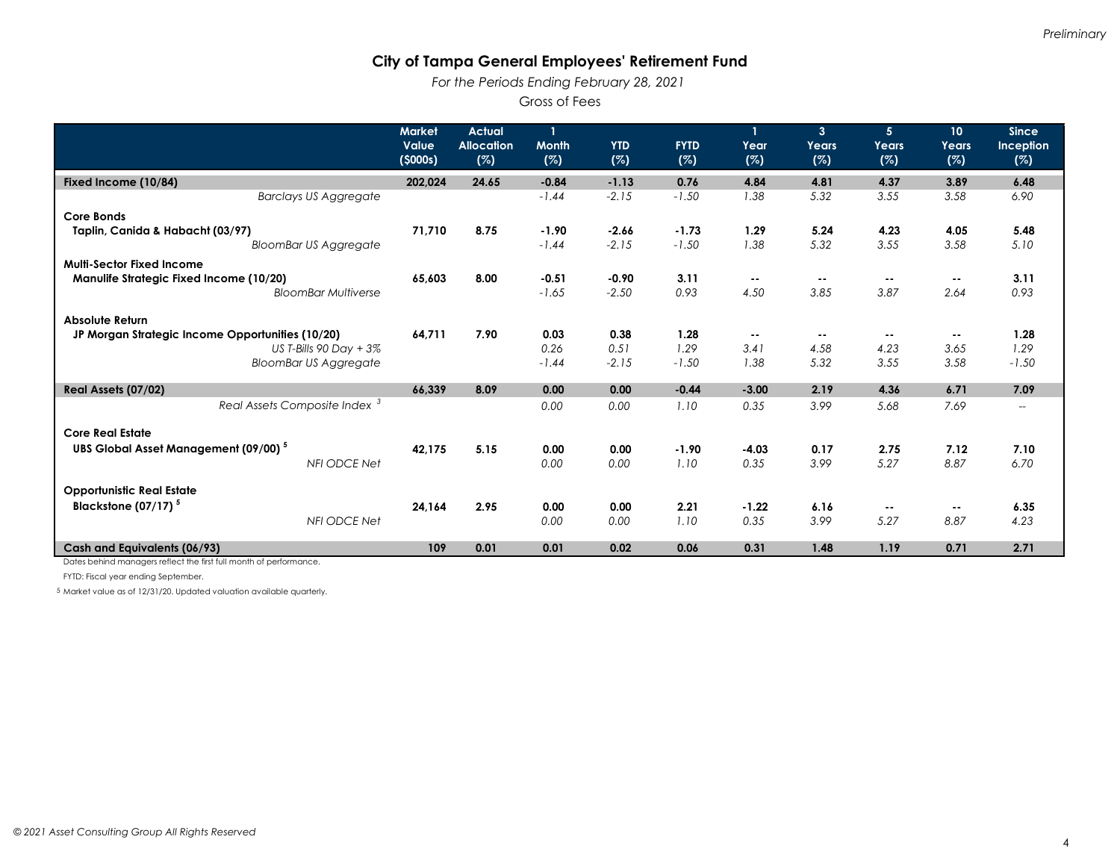*For the Periods Ending February 28, 2021* 

Gross of Fees

|                                                  | <b>Market</b><br>Value<br>(5000s) | <b>Actual</b><br><b>Allocation</b><br>(%) | <b>Month</b><br>(%) | <b>YTD</b><br>(%) | <b>FYTD</b><br>(%) | Year<br>(%) | 3 <sup>2</sup><br>Years<br>(%) | 5 <sup>5</sup><br>Years<br>(%) | 10 <sup>°</sup><br>Years<br>(%) | <b>Since</b><br>Inception<br>(%)   |
|--------------------------------------------------|-----------------------------------|-------------------------------------------|---------------------|-------------------|--------------------|-------------|--------------------------------|--------------------------------|---------------------------------|------------------------------------|
| Fixed Income (10/84)                             | 202,024                           | 24.65                                     | $-0.84$             | $-1.13$           | 0.76               | 4.84        | 4.81                           | 4.37                           | 3.89                            | 6.48                               |
| <b>Barclays US Aggregate</b>                     |                                   |                                           | $-1.44$             | $-2.15$           | $-1.50$            | 1.38        | 5.32                           | 3.55                           | 3.58                            | 6.90                               |
| Core Bonds                                       |                                   |                                           |                     |                   |                    |             |                                |                                |                                 |                                    |
| Taplin, Canida & Habacht (03/97)                 | 71,710                            | 8.75                                      | $-1.90$             | $-2.66$           | $-1.73$            | 1.29        | 5.24                           | 4.23                           | 4.05                            | 5.48                               |
| <b>BloomBar US Aggregate</b>                     |                                   |                                           | $-1.44$             | $-2.15$           | $-1.50$            | 1.38        | 5.32                           | 3.55                           | 3.58                            | 5.10                               |
| <b>Multi-Sector Fixed Income</b>                 |                                   |                                           |                     |                   |                    |             |                                |                                |                                 |                                    |
| Manulife Strategic Fixed Income (10/20)          | 65,603                            | 8.00                                      | $-0.51$             | $-0.90$           | 3.11               | $\sim$ $-$  | $\sim$ $\sim$                  | $- -$                          | $\sim$ $\sim$                   | 3.11                               |
| <b>BloomBar Multiverse</b>                       |                                   |                                           | $-1.65$             | $-2.50$           | 0.93               | 4.50        | 3.85                           | 3.87                           | 2.64                            | 0.93                               |
| <b>Absolute Return</b>                           |                                   |                                           |                     |                   |                    |             |                                |                                |                                 |                                    |
| JP Morgan Strategic Income Opportunities (10/20) | 64,711                            | 7.90                                      | 0.03                | 0.38              | 1.28               | $\sim$ $-$  | $\sim$                         | $\sim$ $\sim$                  | $\sim$ $\sim$                   | 1.28                               |
| US T-Bills 90 Day $+3\%$                         |                                   |                                           | 0.26                | 0.51              | 1.29               | 3.41        | 4.58                           | 4.23                           | 3.65                            | 1.29                               |
| <b>BloomBar US Aggregate</b>                     |                                   |                                           | $-1.44$             | $-2.15$           | $-1.50$            | 1.38        | 5.32                           | 3.55                           | 3.58                            | $-1.50$                            |
| Real Assets (07/02)                              | 66.339                            | 8.09                                      | 0.00                | 0.00              | $-0.44$            | $-3.00$     | 2.19                           | 4.36                           | 6.71                            | 7.09                               |
| Real Assets Composite Index <sup>3</sup>         |                                   |                                           | 0.00                | 0.00              | 1.10               | 0.35        | 3.99                           | 5.68                           | 7.69                            | $\hspace{0.05cm}--\hspace{0.05cm}$ |
| <b>Core Real Estate</b>                          |                                   |                                           |                     |                   |                    |             |                                |                                |                                 |                                    |
| UBS Global Asset Management (09/00) <sup>5</sup> | 42.175                            | 5.15                                      | 0.00                | 0.00              | $-1.90$            | $-4.03$     | 0.17                           | 2.75                           | 7.12                            | 7.10                               |
| NFI ODCE Net                                     |                                   |                                           | 0.00                | 0.00              | 1.10               | 0.35        | 3.99                           | 5.27                           | 8.87                            | 6.70                               |
|                                                  |                                   |                                           |                     |                   |                    |             |                                |                                |                                 |                                    |
| <b>Opportunistic Real Estate</b>                 |                                   |                                           |                     |                   |                    |             |                                |                                |                                 |                                    |
| Blackstone $(07/17)^5$                           | 24,164                            | 2.95                                      | 0.00                | 0.00              | 2.21               | $-1.22$     | 6.16                           | $- -$                          | $\sim$ $\sim$                   | 6.35                               |
| <b>NFI ODCE Net</b>                              |                                   |                                           | 0.00                | 0.00              | 1.10               | 0.35        | 3.99                           | 5.27                           | 8.87                            | 4.23                               |
| Cash and Equivalents (06/93)                     | 109                               | 0.01                                      | 0.01                | 0.02              | 0.06               | 0.31        | 1.48                           | 1.19                           | 0.71                            | 2.71                               |

Dates behind managers reflect the first full month of performance.

FYTD: Fiscal year ending September.

5 Market value as of 12/31/20. Updated valuation available quarterly.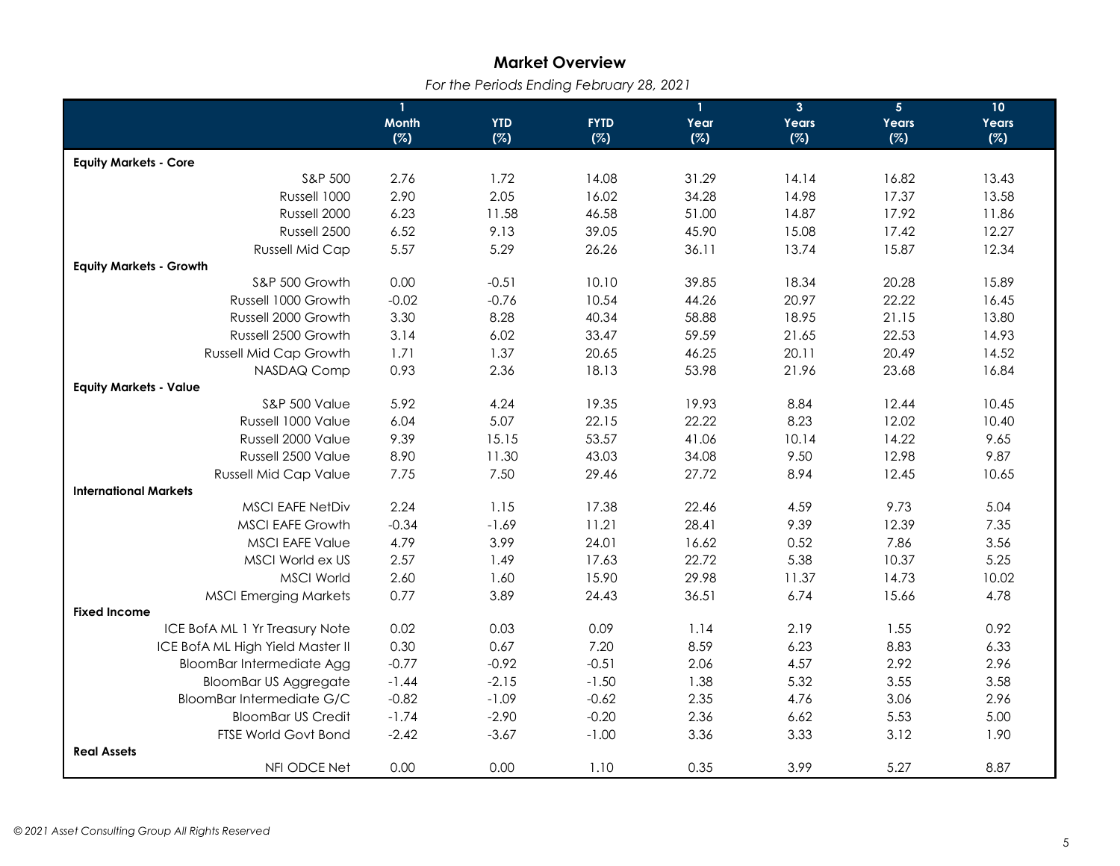# **Market Overview**

 *For the Periods Ending February 28, 2021* 

|                                  | $\mathbf{1}$ |            |             | $\mathbf{1}$ | 3 <sup>1</sup> | 5 <sub>5</sub> | 10    |
|----------------------------------|--------------|------------|-------------|--------------|----------------|----------------|-------|
|                                  | <b>Month</b> | <b>YTD</b> | <b>FYTD</b> | Year         | Years          | Years          | Years |
|                                  | (%)          | (%)        | (%)         | (%)          | (%)            | (%)            | (%)   |
| <b>Equity Markets - Core</b>     |              |            |             |              |                |                |       |
| S&P 500                          | 2.76         | 1.72       | 14.08       | 31.29        | 14.14          | 16.82          | 13.43 |
| Russell 1000                     | 2.90         | 2.05       | 16.02       | 34.28        | 14.98          | 17.37          | 13.58 |
| Russell 2000                     | 6.23         | 11.58      | 46.58       | 51.00        | 14.87          | 17.92          | 11.86 |
| Russell 2500                     | 6.52         | 9.13       | 39.05       | 45.90        | 15.08          | 17.42          | 12.27 |
| <b>Russell Mid Cap</b>           | 5.57         | 5.29       | 26.26       | 36.11        | 13.74          | 15.87          | 12.34 |
| <b>Equity Markets - Growth</b>   |              |            |             |              |                |                |       |
| S&P 500 Growth                   | 0.00         | $-0.51$    | 10.10       | 39.85        | 18.34          | 20.28          | 15.89 |
| Russell 1000 Growth              | $-0.02$      | $-0.76$    | 10.54       | 44.26        | 20.97          | 22.22          | 16.45 |
| Russell 2000 Growth              | 3.30         | 8.28       | 40.34       | 58.88        | 18.95          | 21.15          | 13.80 |
| Russell 2500 Growth              | 3.14         | 6.02       | 33.47       | 59.59        | 21.65          | 22.53          | 14.93 |
| Russell Mid Cap Growth           | 1.71         | 1.37       | 20.65       | 46.25        | 20.11          | 20.49          | 14.52 |
| NASDAQ Comp                      | 0.93         | 2.36       | 18.13       | 53.98        | 21.96          | 23.68          | 16.84 |
| <b>Equity Markets - Value</b>    |              |            |             |              |                |                |       |
| <b>S&amp;P 500 Value</b>         | 5.92         | 4.24       | 19.35       | 19.93        | 8.84           | 12.44          | 10.45 |
| Russell 1000 Value               | 6.04         | 5.07       | 22.15       | 22.22        | 8.23           | 12.02          | 10.40 |
| Russell 2000 Value               | 9.39         | 15.15      | 53.57       | 41.06        | 10.14          | 14.22          | 9.65  |
| Russell 2500 Value               | 8.90         | 11.30      | 43.03       | 34.08        | 9.50           | 12.98          | 9.87  |
| <b>Russell Mid Cap Value</b>     | 7.75         | 7.50       | 29.46       | 27.72        | 8.94           | 12.45          | 10.65 |
| <b>International Markets</b>     |              |            |             |              |                |                |       |
| <b>MSCI EAFE NetDiv</b>          | 2.24         | 1.15       | 17.38       | 22.46        | 4.59           | 9.73           | 5.04  |
| <b>MSCI EAFE Growth</b>          | $-0.34$      | $-1.69$    | 11.21       | 28.41        | 9.39           | 12.39          | 7.35  |
| <b>MSCI EAFE Value</b>           | 4.79         | 3.99       | 24.01       | 16.62        | 0.52           | 7.86           | 3.56  |
| MSCI World ex US                 | 2.57         | 1.49       | 17.63       | 22.72        | 5.38           | 10.37          | 5.25  |
| <b>MSCI World</b>                | 2.60         | 1.60       | 15.90       | 29.98        | 11.37          | 14.73          | 10.02 |
| <b>MSCI Emerging Markets</b>     | 0.77         | 3.89       | 24.43       | 36.51        | 6.74           | 15.66          | 4.78  |
| <b>Fixed Income</b>              |              |            |             |              |                |                |       |
| ICE BofA ML 1 Yr Treasury Note   | 0.02         | 0.03       | 0.09        | 1.14         | 2.19           | 1.55           | 0.92  |
| ICE BofA ML High Yield Master II | 0.30         | 0.67       | 7.20        | 8.59         | 6.23           | 8.83           | 6.33  |
| <b>BloomBar Intermediate Agg</b> | $-0.77$      | $-0.92$    | $-0.51$     | 2.06         | 4.57           | 2.92           | 2.96  |
| <b>BloomBar US Aggregate</b>     | $-1.44$      | $-2.15$    | $-1.50$     | 1.38         | 5.32           | 3.55           | 3.58  |
| <b>BloomBar Intermediate G/C</b> | $-0.82$      | $-1.09$    | $-0.62$     | 2.35         | 4.76           | 3.06           | 2.96  |
| <b>BloomBar US Credit</b>        | $-1.74$      | $-2.90$    | $-0.20$     | 2.36         | 6.62           | 5.53           | 5.00  |
| <b>FTSE World Govt Bond</b>      | $-2.42$      | $-3.67$    | $-1.00$     | 3.36         | 3.33           | 3.12           | 1.90  |
| <b>Real Assets</b>               |              |            |             |              |                |                |       |
| NFI ODCE Net                     | 0.00         | 0.00       | 1.10        | 0.35         | 3.99           | 5.27           | 8.87  |